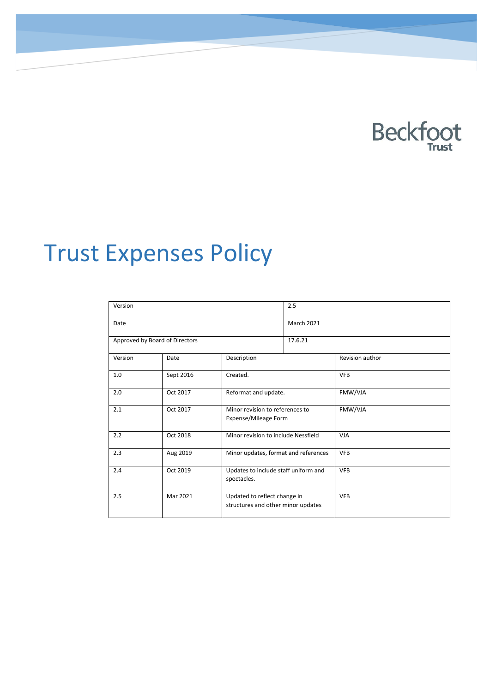

# Trust Expenses Policy

| Version                        |           |                                                                    | 2.5               |                 |  |  |
|--------------------------------|-----------|--------------------------------------------------------------------|-------------------|-----------------|--|--|
| Date                           |           |                                                                    | <b>March 2021</b> |                 |  |  |
| Approved by Board of Directors |           |                                                                    | 17.6.21           |                 |  |  |
| Version                        | Date      | Description                                                        |                   | Revision author |  |  |
| 1.0                            | Sept 2016 | Created.                                                           |                   | <b>VFB</b>      |  |  |
| 2.0                            | Oct 2017  | Reformat and update.                                               |                   | FMW/VJA         |  |  |
| 2.1                            | Oct 2017  | Minor revision to references to<br>Expense/Mileage Form            |                   | FMW/VJA         |  |  |
| 2.2                            | Oct 2018  | Minor revision to include Nessfield                                |                   | <b>VJA</b>      |  |  |
| 2.3                            | Aug 2019  | Minor updates, format and references                               |                   | <b>VFB</b>      |  |  |
| 2.4                            | Oct 2019  | Updates to include staff uniform and<br>spectacles.                |                   | <b>VFB</b>      |  |  |
| 2.5                            | Mar 2021  | Updated to reflect change in<br>structures and other minor updates |                   | <b>VFB</b>      |  |  |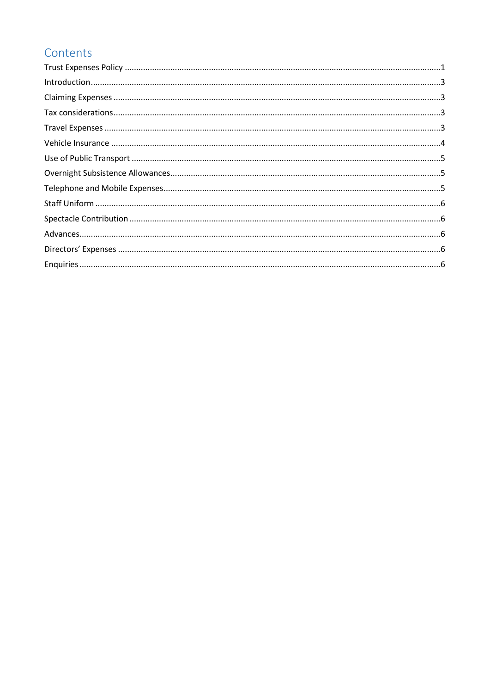#### Contents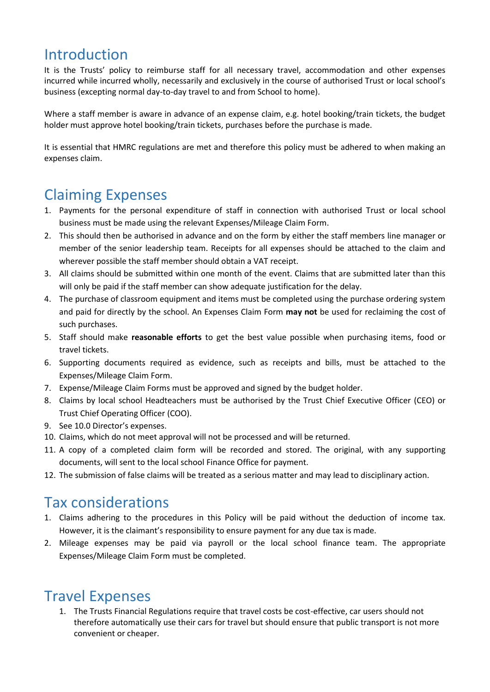#### Introduction

It is the Trusts' policy to reimburse staff for all necessary travel, accommodation and other expenses incurred while incurred wholly, necessarily and exclusively in the course of authorised Trust or local school's business (excepting normal day-to-day travel to and from School to home).

Where a staff member is aware in advance of an expense claim, e.g. hotel booking/train tickets, the budget holder must approve hotel booking/train tickets, purchases before the purchase is made.

It is essential that HMRC regulations are met and therefore this policy must be adhered to when making an expenses claim.

## Claiming Expenses

- 1. Payments for the personal expenditure of staff in connection with authorised Trust or local school business must be made using the relevant Expenses/Mileage Claim Form.
- 2. This should then be authorised in advance and on the form by either the staff members line manager or member of the senior leadership team. Receipts for all expenses should be attached to the claim and wherever possible the staff member should obtain a VAT receipt.
- 3. All claims should be submitted within one month of the event. Claims that are submitted later than this will only be paid if the staff member can show adequate justification for the delay.
- 4. The purchase of classroom equipment and items must be completed using the purchase ordering system and paid for directly by the school. An Expenses Claim Form **may not** be used for reclaiming the cost of such purchases.
- 5. Staff should make **reasonable efforts** to get the best value possible when purchasing items, food or travel tickets.
- 6. Supporting documents required as evidence, such as receipts and bills, must be attached to the Expenses/Mileage Claim Form.
- 7. Expense/Mileage Claim Forms must be approved and signed by the budget holder.
- 8. Claims by local school Headteachers must be authorised by the Trust Chief Executive Officer (CEO) or Trust Chief Operating Officer (COO).
- 9. See 10.0 Director's expenses.
- 10. Claims, which do not meet approval will not be processed and will be returned.
- 11. A copy of a completed claim form will be recorded and stored. The original, with any supporting documents, will sent to the local school Finance Office for payment.
- 12. The submission of false claims will be treated as a serious matter and may lead to disciplinary action.

#### Tax considerations

- 1. Claims adhering to the procedures in this Policy will be paid without the deduction of income tax. However, it is the claimant's responsibility to ensure payment for any due tax is made.
- 2. Mileage expenses may be paid via payroll or the local school finance team. The appropriate Expenses/Mileage Claim Form must be completed.

#### Travel Expenses

1. The Trusts Financial Regulations require that travel costs be cost-effective, car users should not therefore automatically use their cars for travel but should ensure that public transport is not more convenient or cheaper.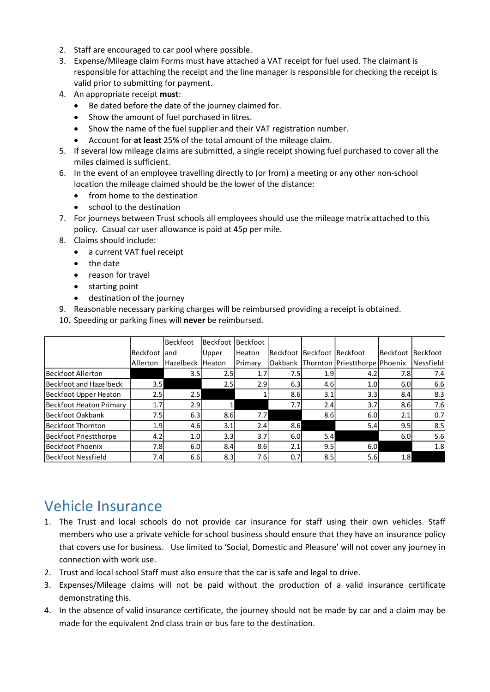- 2. Staff are encouraged to car pool where possible.
- 3. Expense/Mileage claim Forms must have attached a VAT receipt for fuel used. The claimant is responsible for attaching the receipt and the line manager is responsible for checking the receipt is valid prior to submitting for payment.
- 4. An appropriate receipt **must**:
	- Be dated before the date of the journey claimed for.
	- Show the amount of fuel purchased in litres.
	- Show the name of the fuel supplier and their VAT registration number.
	- Account for **at least** 25% of the total amount of the mileage claim.
- 5. If several low mileage claims are submitted, a single receipt showing fuel purchased to cover all the miles claimed is sufficient.
- 6. In the event of an employee travelling directly to (or from) a meeting or any other non-school location the mileage claimed should be the lower of the distance:
	- from home to the destination
	- school to the destination
- 7. For journeys between Trust schools all employees should use the mileage matrix attached to this policy. Casual car user allowance is paid at 45p per mile.
- 8. Claims should include:
	- a current VAT fuel receipt
	- the date
	- reason for travel
	- starting point
	- destination of the journey
- 9. Reasonable necessary parking charges will be reimbursed providing a receipt is obtained.
- 10. Speeding or parking fines will **never** be reimbursed.

|                         |                  | <b>Beckfoot</b>  | <b>Beckfoot</b> | <b>Beckfoot</b> |          |                            |                               |                  |                 |
|-------------------------|------------------|------------------|-----------------|-----------------|----------|----------------------------|-------------------------------|------------------|-----------------|
|                         | <b>Beckfoot</b>  | land             | Upper           | Heaton          |          | Beckfoot Beckfoot Beckfoot |                               | <b>Beckfoot</b>  | <b>Beckfoot</b> |
|                         | Allerton         | <b>Hazelbeck</b> | <b>Heaton</b>   | Primary         | lOakbank |                            | Thornton Priestthorpe Phoenix |                  | Nessfield       |
| Beckfoot Allerton       |                  | 3.5              | 2.5             | 1.7             | 7.5      | 1.9                        | 4.2                           | 7.8              | 7.4             |
| Beckfoot and Hazelbeck  | 3.5 <sub>1</sub> |                  | 2.5             | 2.9             | 6.3      | 4.6                        | 1.0 <sub>l</sub>              | 6.0              | 6.6             |
| Beckfoot Upper Heaton   | 2.5              | 2.5              |                 |                 | 8.6      | 3.1                        | 3.3                           | 8.4              | 8.3             |
| Beckfoot Heaton Primary | 1.7              | 2.9              |                 |                 | 7.7      | 2.4                        | 3.7 <sup>1</sup>              | 8.6              | 7.6             |
| lBeckfoot Oakbank       | 7.5              | 6.3              | 8.6             | 7.7             |          | 8.6                        | 6.0                           | 2.1              | 0.7             |
| Beckfoot Thornton       | 1.9              | 4.6              | 3.1             | 2.4             | 8.6      |                            | 5.4                           | 9.5              | 8.5             |
| Beckfoot Priestthorpe   | 4.2              | 1.0              | 3.3             | 3.7             | 6.0      | 5.4                        |                               | 6.0              | 5.6             |
| Beckfoot Phoenix        | 7.8              | 6.0              | 8.4             | 8.6             | 2.1      | 9.5                        | 6.0                           |                  | 1.8             |
| Beckfoot Nessfield      | 7.4              | 6.6              | 8.3             | 7.6I            | 0.7      | 8.5                        | 5.6                           | 1.8 <sub>l</sub> |                 |

#### Vehicle Insurance

- 1. The Trust and local schools do not provide car insurance for staff using their own vehicles. Staff members who use a private vehicle for school business should ensure that they have an insurance policy that covers use for business. Use limited to 'Social, Domestic and Pleasure' will not cover any journey in connection with work use.
- 2. Trust and local school Staff must also ensure that the car is safe and legal to drive.
- 3. Expenses/Mileage claims will not be paid without the production of a valid insurance certificate demonstrating this.
- 4. In the absence of valid insurance certificate, the journey should not be made by car and a claim may be made for the equivalent 2nd class train or bus fare to the destination.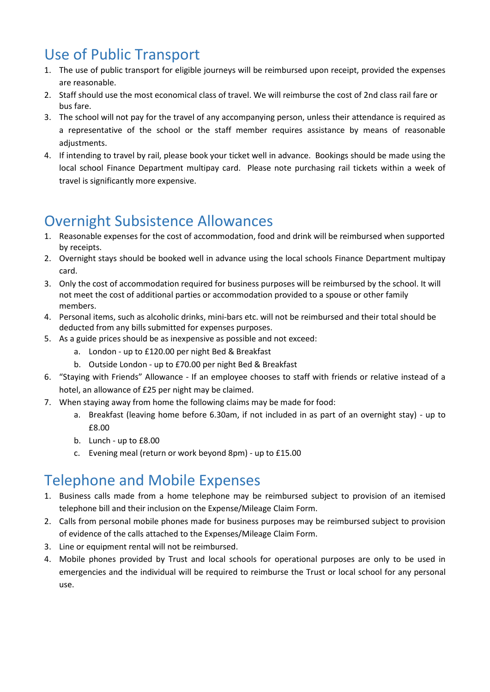## Use of Public Transport

- 1. The use of public transport for eligible journeys will be reimbursed upon receipt, provided the expenses are reasonable.
- 2. Staff should use the most economical class of travel. We will reimburse the cost of 2nd class rail fare or bus fare.
- 3. The school will not pay for the travel of any accompanying person, unless their attendance is required as a representative of the school or the staff member requires assistance by means of reasonable adiustments.
- 4. If intending to travel by rail, please book your ticket well in advance. Bookings should be made using the local school Finance Department multipay card. Please note purchasing rail tickets within a week of travel is significantly more expensive.

## Overnight Subsistence Allowances

- 1. Reasonable expenses for the cost of accommodation, food and drink will be reimbursed when supported by receipts.
- 2. Overnight stays should be booked well in advance using the local schools Finance Department multipay card.
- 3. Only the cost of accommodation required for business purposes will be reimbursed by the school. It will not meet the cost of additional parties or accommodation provided to a spouse or other family members.
- 4. Personal items, such as alcoholic drinks, mini-bars etc. will not be reimbursed and their total should be deducted from any bills submitted for expenses purposes.
- 5. As a guide prices should be as inexpensive as possible and not exceed:
	- a. London up to £120.00 per night Bed & Breakfast
	- b. Outside London up to £70.00 per night Bed & Breakfast
- 6. "Staying with Friends" Allowance If an employee chooses to staff with friends or relative instead of a hotel, an allowance of £25 per night may be claimed.
- 7. When staying away from home the following claims may be made for food:
	- a. Breakfast (leaving home before 6.30am, if not included in as part of an overnight stay) up to £8.00
	- b. Lunch up to £8.00
	- c. Evening meal (return or work beyond 8pm) up to £15.00

## Telephone and Mobile Expenses

- 1. Business calls made from a home telephone may be reimbursed subject to provision of an itemised telephone bill and their inclusion on the Expense/Mileage Claim Form.
- 2. Calls from personal mobile phones made for business purposes may be reimbursed subject to provision of evidence of the calls attached to the Expenses/Mileage Claim Form.
- 3. Line or equipment rental will not be reimbursed.
- 4. Mobile phones provided by Trust and local schools for operational purposes are only to be used in emergencies and the individual will be required to reimburse the Trust or local school for any personal use.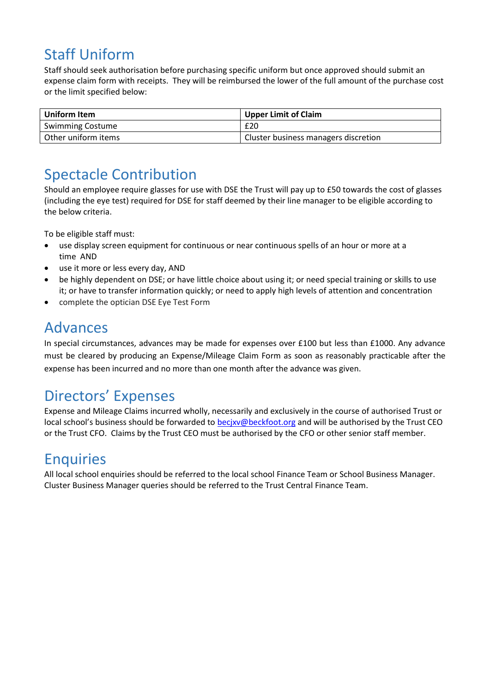## Staff Uniform

Staff should seek authorisation before purchasing specific uniform but once approved should submit an expense claim form with receipts. They will be reimbursed the lower of the full amount of the purchase cost or the limit specified below:

| Uniform Item            | <b>Upper Limit of Claim</b>          |  |  |  |
|-------------------------|--------------------------------------|--|--|--|
| <b>Swimming Costume</b> | £20                                  |  |  |  |
| Other uniform items     | Cluster business managers discretion |  |  |  |

## Spectacle Contribution

Should an employee require glasses for use with DSE the Trust will pay up to £50 towards the cost of glasses (including the eye test) required for DSE for staff deemed by their line manager to be eligible according to the below criteria.

To be eligible staff must:

- use display screen equipment for continuous or near continuous spells of an hour or more at a time AND
- use it more or less every day, AND
- be highly dependent on DSE; or have little choice about using it; or need special training or skills to use it; or have to transfer information quickly; or need to apply high levels of attention and concentration
- complete the optician DSE Eye Test Form

#### Advances

In special circumstances, advances may be made for expenses over £100 but less than £1000. Any advance must be cleared by producing an Expense/Mileage Claim Form as soon as reasonably practicable after the expense has been incurred and no more than one month after the advance was given.

## Directors' Expenses

Expense and Mileage Claims incurred wholly, necessarily and exclusively in the course of authorised Trust or local school's business should be forwarded to [becjxv@beckfoot.org](mailto:becjxv@beckfoot.org) and will be authorised by the Trust CEO or the Trust CFO. Claims by the Trust CEO must be authorised by the CFO or other senior staff member.

#### **Enquiries**

All local school enquiries should be referred to the local school Finance Team or School Business Manager. Cluster Business Manager queries should be referred to the Trust Central Finance Team.